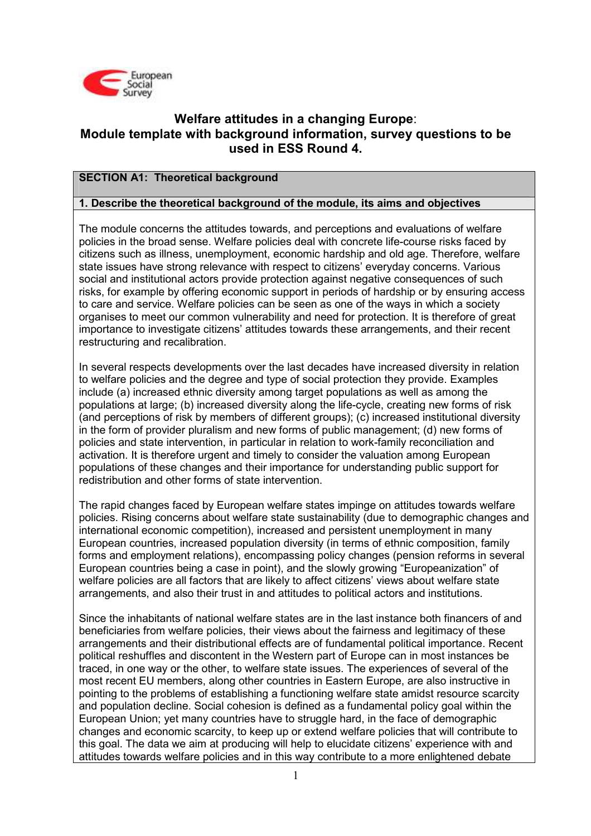

## Welfare attitudes in a changing Europe: Module template with background information, survey questions to be used in ESS Round 4.

## SECTION A1: Theoretical background

## 1. Describe the theoretical background of the module, its aims and objectives

The module concerns the attitudes towards, and perceptions and evaluations of welfare policies in the broad sense. Welfare policies deal with concrete life-course risks faced by citizens such as illness, unemployment, economic hardship and old age. Therefore, welfare state issues have strong relevance with respect to citizens' everyday concerns. Various social and institutional actors provide protection against negative consequences of such risks, for example by offering economic support in periods of hardship or by ensuring access to care and service. Welfare policies can be seen as one of the ways in which a society organises to meet our common vulnerability and need for protection. It is therefore of great importance to investigate citizens' attitudes towards these arrangements, and their recent restructuring and recalibration.

In several respects developments over the last decades have increased diversity in relation to welfare policies and the degree and type of social protection they provide. Examples include (a) increased ethnic diversity among target populations as well as among the populations at large; (b) increased diversity along the life-cycle, creating new forms of risk (and perceptions of risk by members of different groups); (c) increased institutional diversity in the form of provider pluralism and new forms of public management; (d) new forms of policies and state intervention, in particular in relation to work-family reconciliation and activation. It is therefore urgent and timely to consider the valuation among European populations of these changes and their importance for understanding public support for redistribution and other forms of state intervention.

The rapid changes faced by European welfare states impinge on attitudes towards welfare policies. Rising concerns about welfare state sustainability (due to demographic changes and international economic competition), increased and persistent unemployment in many European countries, increased population diversity (in terms of ethnic composition, family forms and employment relations), encompassing policy changes (pension reforms in several European countries being a case in point), and the slowly growing "Europeanization" of welfare policies are all factors that are likely to affect citizens' views about welfare state arrangements, and also their trust in and attitudes to political actors and institutions.

Since the inhabitants of national welfare states are in the last instance both financers of and beneficiaries from welfare policies, their views about the fairness and legitimacy of these arrangements and their distributional effects are of fundamental political importance. Recent political reshuffles and discontent in the Western part of Europe can in most instances be traced, in one way or the other, to welfare state issues. The experiences of several of the most recent EU members, along other countries in Eastern Europe, are also instructive in pointing to the problems of establishing a functioning welfare state amidst resource scarcity and population decline. Social cohesion is defined as a fundamental policy goal within the European Union; yet many countries have to struggle hard, in the face of demographic changes and economic scarcity, to keep up or extend welfare policies that will contribute to this goal. The data we aim at producing will help to elucidate citizens' experience with and attitudes towards welfare policies and in this way contribute to a more enlightened debate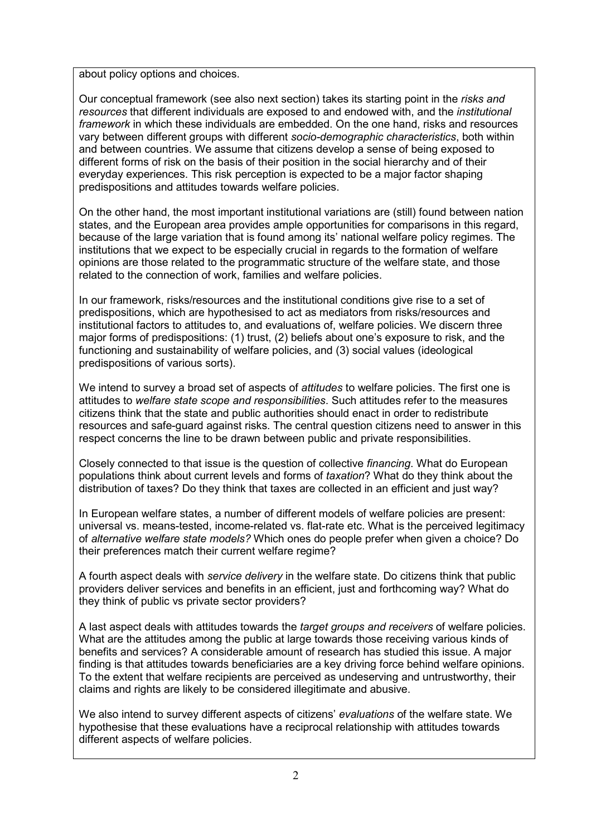about policy options and choices.

Our conceptual framework (see also next section) takes its starting point in the risks and resources that different individuals are exposed to and endowed with, and the institutional framework in which these individuals are embedded. On the one hand, risks and resources vary between different groups with different socio-demographic characteristics, both within and between countries. We assume that citizens develop a sense of being exposed to different forms of risk on the basis of their position in the social hierarchy and of their everyday experiences. This risk perception is expected to be a major factor shaping predispositions and attitudes towards welfare policies.

On the other hand, the most important institutional variations are (still) found between nation states, and the European area provides ample opportunities for comparisons in this regard, because of the large variation that is found among its' national welfare policy regimes. The institutions that we expect to be especially crucial in regards to the formation of welfare opinions are those related to the programmatic structure of the welfare state, and those related to the connection of work, families and welfare policies.

In our framework, risks/resources and the institutional conditions give rise to a set of predispositions, which are hypothesised to act as mediators from risks/resources and institutional factors to attitudes to, and evaluations of, welfare policies. We discern three major forms of predispositions: (1) trust, (2) beliefs about one's exposure to risk, and the functioning and sustainability of welfare policies, and (3) social values (ideological predispositions of various sorts).

We intend to survey a broad set of aspects of attitudes to welfare policies. The first one is attitudes to welfare state scope and responsibilities. Such attitudes refer to the measures citizens think that the state and public authorities should enact in order to redistribute resources and safe-guard against risks. The central question citizens need to answer in this respect concerns the line to be drawn between public and private responsibilities.

Closely connected to that issue is the question of collective financing. What do European populations think about current levels and forms of taxation? What do they think about the distribution of taxes? Do they think that taxes are collected in an efficient and just way?

In European welfare states, a number of different models of welfare policies are present: universal vs. means-tested, income-related vs. flat-rate etc. What is the perceived legitimacy of alternative welfare state models? Which ones do people prefer when given a choice? Do their preferences match their current welfare regime?

A fourth aspect deals with service delivery in the welfare state. Do citizens think that public providers deliver services and benefits in an efficient, just and forthcoming way? What do they think of public vs private sector providers?

A last aspect deals with attitudes towards the *target groups and receivers* of welfare policies. What are the attitudes among the public at large towards those receiving various kinds of benefits and services? A considerable amount of research has studied this issue. A major finding is that attitudes towards beneficiaries are a key driving force behind welfare opinions. To the extent that welfare recipients are perceived as undeserving and untrustworthy, their claims and rights are likely to be considered illegitimate and abusive.

We also intend to survey different aspects of citizens' evaluations of the welfare state. We hypothesise that these evaluations have a reciprocal relationship with attitudes towards different aspects of welfare policies.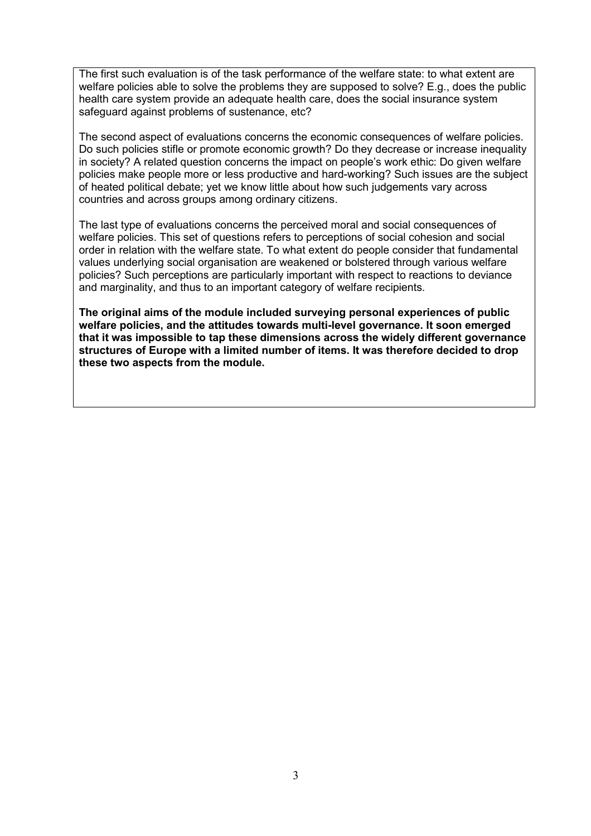The first such evaluation is of the task performance of the welfare state: to what extent are welfare policies able to solve the problems they are supposed to solve? E.g., does the public health care system provide an adequate health care, does the social insurance system safeguard against problems of sustenance, etc?

The second aspect of evaluations concerns the economic consequences of welfare policies. Do such policies stifle or promote economic growth? Do they decrease or increase inequality in society? A related question concerns the impact on people's work ethic: Do given welfare policies make people more or less productive and hard-working? Such issues are the subject of heated political debate; yet we know little about how such judgements vary across countries and across groups among ordinary citizens.

The last type of evaluations concerns the perceived moral and social consequences of welfare policies. This set of questions refers to perceptions of social cohesion and social order in relation with the welfare state. To what extent do people consider that fundamental values underlying social organisation are weakened or bolstered through various welfare policies? Such perceptions are particularly important with respect to reactions to deviance and marginality, and thus to an important category of welfare recipients.

The original aims of the module included surveying personal experiences of public welfare policies, and the attitudes towards multi-level governance. It soon emerged that it was impossible to tap these dimensions across the widely different governance structures of Europe with a limited number of items. It was therefore decided to drop these two aspects from the module.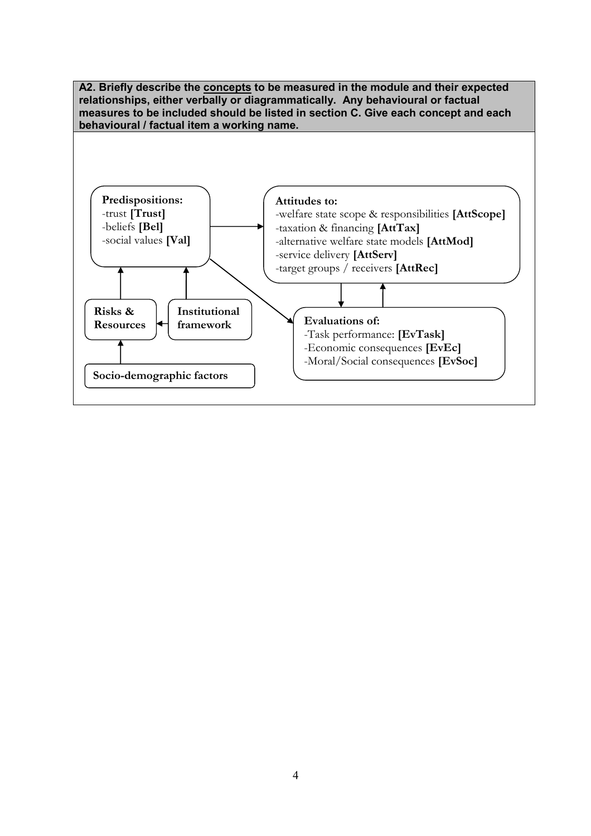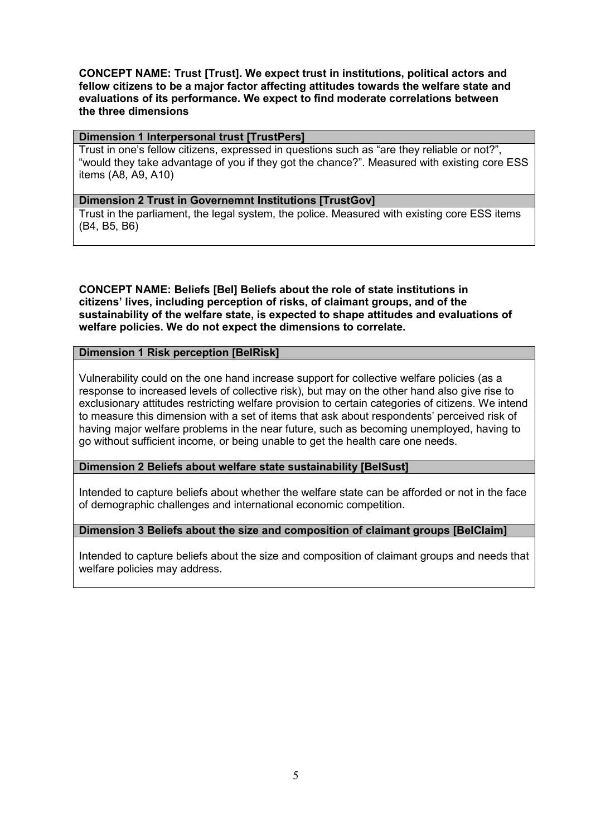CONCEPT NAME: Trust [Trust]. We expect trust in institutions, political actors and fellow citizens to be a major factor affecting attitudes towards the welfare state and evaluations of its performance. We expect to find moderate correlations between the three dimensions

#### Dimension 1 Interpersonal trust [TrustPers]

Trust in one's fellow citizens, expressed in questions such as "are they reliable or not?", "would they take advantage of you if they got the chance?". Measured with existing core ESS items (A8, A9, A10)

#### Dimension 2 Trust in Governemnt Institutions [TrustGov]

Trust in the parliament, the legal system, the police. Measured with existing core ESS items (B4, B5, B6)

CONCEPT NAME: Beliefs [Bel] Beliefs about the role of state institutions in citizens' lives, including perception of risks, of claimant groups, and of the sustainability of the welfare state, is expected to shape attitudes and evaluations of welfare policies. We do not expect the dimensions to correlate.

## Dimension 1 Risk perception [BelRisk]

Vulnerability could on the one hand increase support for collective welfare policies (as a response to increased levels of collective risk), but may on the other hand also give rise to exclusionary attitudes restricting welfare provision to certain categories of citizens. We intend to measure this dimension with a set of items that ask about respondents' perceived risk of having major welfare problems in the near future, such as becoming unemployed, having to go without sufficient income, or being unable to get the health care one needs.

Dimension 2 Beliefs about welfare state sustainability [BelSust]

Intended to capture beliefs about whether the welfare state can be afforded or not in the face of demographic challenges and international economic competition.

## Dimension 3 Beliefs about the size and composition of claimant groups [BelClaim]

Intended to capture beliefs about the size and composition of claimant groups and needs that welfare policies may address.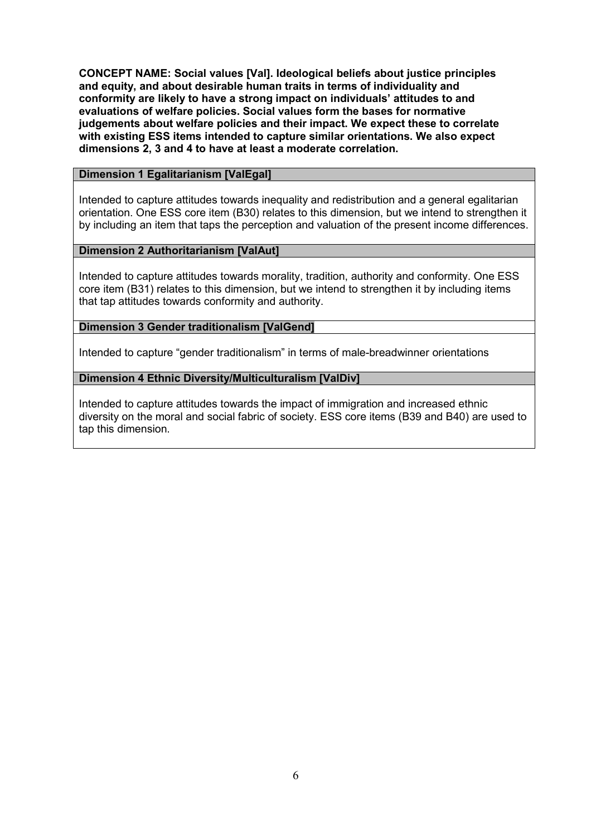CONCEPT NAME: Social values [Val]. Ideological beliefs about justice principles and equity, and about desirable human traits in terms of individuality and conformity are likely to have a strong impact on individuals' attitudes to and evaluations of welfare policies. Social values form the bases for normative judgements about welfare policies and their impact. We expect these to correlate with existing ESS items intended to capture similar orientations. We also expect dimensions 2, 3 and 4 to have at least a moderate correlation.

## **Dimension 1 Egalitarianism [ValEgal]**

Intended to capture attitudes towards inequality and redistribution and a general egalitarian orientation. One ESS core item (B30) relates to this dimension, but we intend to strengthen it by including an item that taps the perception and valuation of the present income differences.

## Dimension 2 Authoritarianism [ValAut]

Intended to capture attitudes towards morality, tradition, authority and conformity. One ESS core item (B31) relates to this dimension, but we intend to strengthen it by including items that tap attitudes towards conformity and authority.

## Dimension 3 Gender traditionalism [ValGend]

Intended to capture "gender traditionalism" in terms of male-breadwinner orientations

## Dimension 4 Ethnic Diversity/Multiculturalism [ValDiv]

Intended to capture attitudes towards the impact of immigration and increased ethnic diversity on the moral and social fabric of society. ESS core items (B39 and B40) are used to tap this dimension.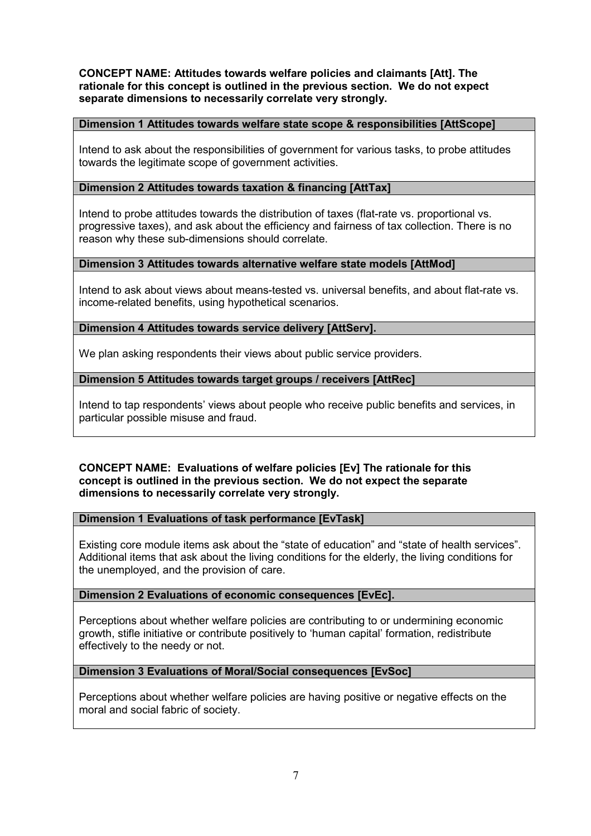CONCEPT NAME: Attitudes towards welfare policies and claimants [Att]. The rationale for this concept is outlined in the previous section. We do not expect separate dimensions to necessarily correlate very strongly.

## Dimension 1 Attitudes towards welfare state scope & responsibilities [AttScope]

Intend to ask about the responsibilities of government for various tasks, to probe attitudes towards the legitimate scope of government activities.

## Dimension 2 Attitudes towards taxation & financing [AttTax]

Intend to probe attitudes towards the distribution of taxes (flat-rate vs. proportional vs. progressive taxes), and ask about the efficiency and fairness of tax collection. There is no reason why these sub-dimensions should correlate.

## Dimension 3 Attitudes towards alternative welfare state models [AttMod]

Intend to ask about views about means-tested vs. universal benefits, and about flat-rate vs. income-related benefits, using hypothetical scenarios.

## Dimension 4 Attitudes towards service delivery [AttServ].

We plan asking respondents their views about public service providers.

## Dimension 5 Attitudes towards target groups / receivers [AttRec]

Intend to tap respondents' views about people who receive public benefits and services, in particular possible misuse and fraud.

## CONCEPT NAME: Evaluations of welfare policies [Ev] The rationale for this concept is outlined in the previous section. We do not expect the separate dimensions to necessarily correlate very strongly.

#### Dimension 1 Evaluations of task performance [EvTask]

Existing core module items ask about the "state of education" and "state of health services". Additional items that ask about the living conditions for the elderly, the living conditions for the unemployed, and the provision of care.

## Dimension 2 Evaluations of economic consequences [EvEc].

Perceptions about whether welfare policies are contributing to or undermining economic growth, stifle initiative or contribute positively to 'human capital' formation, redistribute effectively to the needy or not.

#### Dimension 3 Evaluations of Moral/Social consequences [EvSoc]

Perceptions about whether welfare policies are having positive or negative effects on the moral and social fabric of society.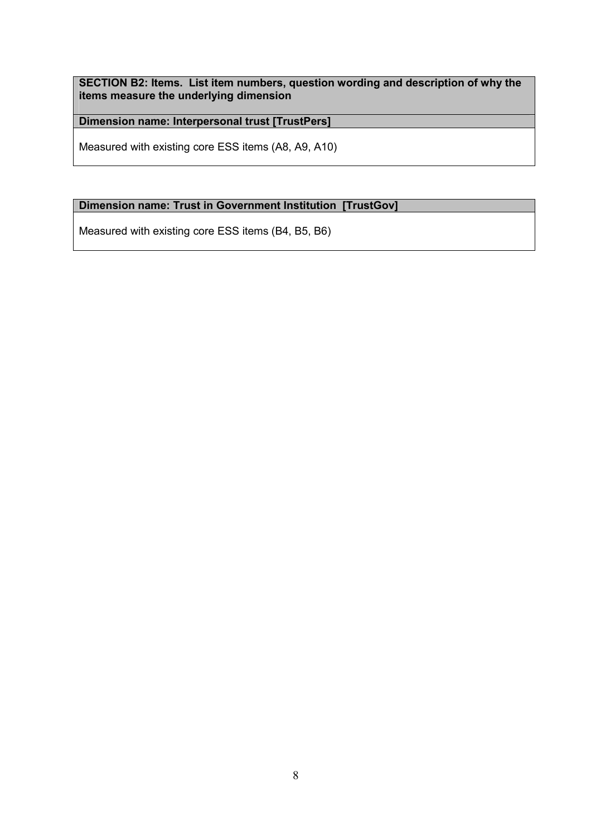SECTION B2: Items. List item numbers, question wording and description of why the items measure the underlying dimension

Dimension name: Interpersonal trust [TrustPers]

Measured with existing core ESS items (A8, A9, A10)

## Dimension name: Trust in Government Institution [TrustGov]

Measured with existing core ESS items (B4, B5, B6)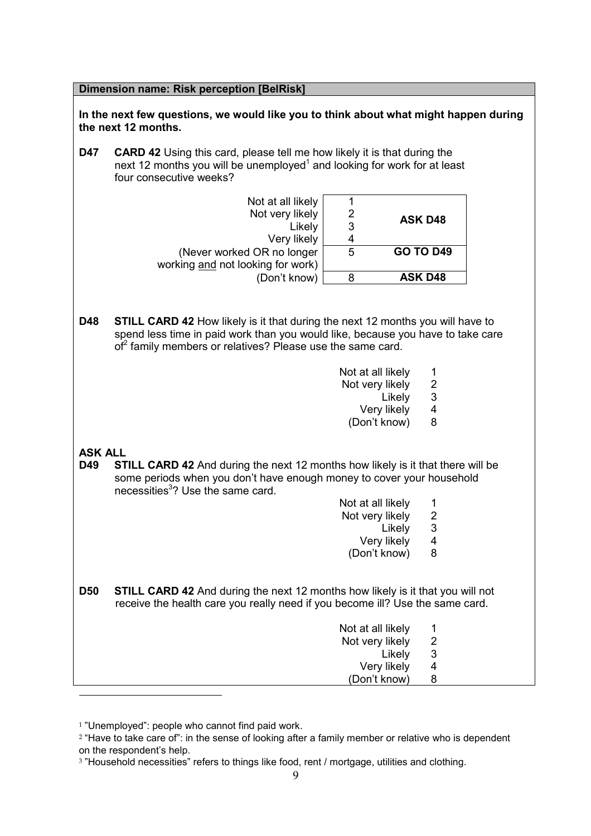Dimension name: Risk perception [BelRisk]

In the next few questions, we would like you to think about what might happen during the next 12 months.

**D47** CARD 42 Using this card, please tell me how likely it is that during the next 12 months you will be unemployed<sup>1</sup> and looking for work for at least four consecutive weeks?

| Not at all likely                 |   |                  |
|-----------------------------------|---|------------------|
| Not very likely                   |   | <b>ASK D48</b>   |
| Likely                            | 3 |                  |
| Very likely                       |   |                  |
| (Never worked OR no longer        | 5 | <b>GO TO D49</b> |
| working and not looking for work) |   |                  |
| (Don't know)                      |   | <b>ASK D48</b>   |

- **D48** STILL CARD 42 How likely is it that during the next 12 months you will have to spend less time in paid work than you would like, because you have to take care of<sup>2</sup> family members or relatives? Please use the same card.
	- Not at all likely 1
	- Not very likely 2<br>Likely 3
- Likely 3
	- Very likely 4
	- (Don't know) 8

#### ASK ALL

- D49 STILL CARD 42 And during the next 12 months how likely is it that there will be some periods when you don't have enough money to cover your household necessities<sup>3</sup>? Use the same card.
	- Not at all likely 1<br>Not very likely 2
	- Not very likely 2<br>Likely 3
- Likely 3
	- Very likely 4
	- (Don't know) 8
- **D50** STILL CARD 42 And during the next 12 months how likely is it that you will not receive the health care you really need if you become ill? Use the same card.

| Not at all likely |                       |
|-------------------|-----------------------|
| Not very likely   | $\mathbf{2}^{\prime}$ |
| Likely            | 3                     |
| Very likely       | 4                     |
| (Don't know)      | 8                     |
|                   |                       |

 $1$  "Unemployed": people who cannot find paid work.

<sup>&</sup>lt;sup>2</sup> "Have to take care of": in the sense of looking after a family member or relative who is dependent on the respondent's help.

<sup>&</sup>lt;sup>3</sup> "Household necessities" refers to things like food, rent / mortgage, utilities and clothing.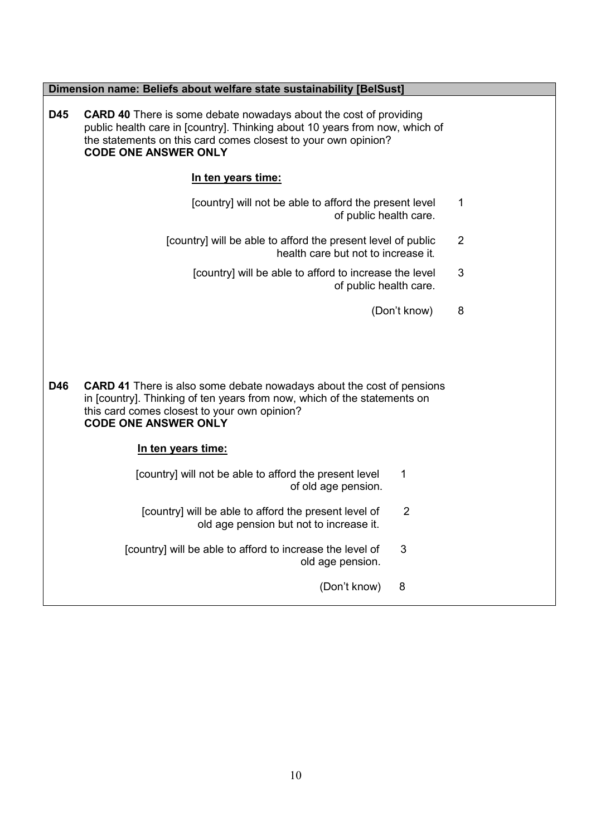|     | Dimension name: Beliefs about welfare state sustainability [BelSust]                                                                                                                                                                                     |                |
|-----|----------------------------------------------------------------------------------------------------------------------------------------------------------------------------------------------------------------------------------------------------------|----------------|
| D45 | <b>CARD 40</b> There is some debate nowadays about the cost of providing<br>public health care in [country]. Thinking about 10 years from now, which of<br>the statements on this card comes closest to your own opinion?<br><b>CODE ONE ANSWER ONLY</b> |                |
|     | In ten years time:                                                                                                                                                                                                                                       |                |
|     | [country] will not be able to afford the present level<br>of public health care.                                                                                                                                                                         | 1              |
|     | [country] will be able to afford the present level of public<br>health care but not to increase it.                                                                                                                                                      | $\overline{2}$ |
|     | [country] will be able to afford to increase the level<br>of public health care.                                                                                                                                                                         | $\mathbf{3}$   |
|     | (Don't know)                                                                                                                                                                                                                                             | 8              |
| D46 | <b>CARD 41</b> There is also some debate nowadays about the cost of pensions<br>in [country]. Thinking of ten years from now, which of the statements on<br>this card comes closest to your own opinion?<br><b>CODE ONE ANSWER ONLY</b>                  |                |
|     | In ten years time:                                                                                                                                                                                                                                       |                |
|     | [country] will not be able to afford the present level<br>1<br>of old age pension.                                                                                                                                                                       |                |
|     | [country] will be able to afford the present level of<br>$\overline{2}$<br>old age pension but not to increase it.                                                                                                                                       |                |
|     | 3<br>[country] will be able to afford to increase the level of<br>old age pension.                                                                                                                                                                       |                |
|     | (Don't know)<br>8                                                                                                                                                                                                                                        |                |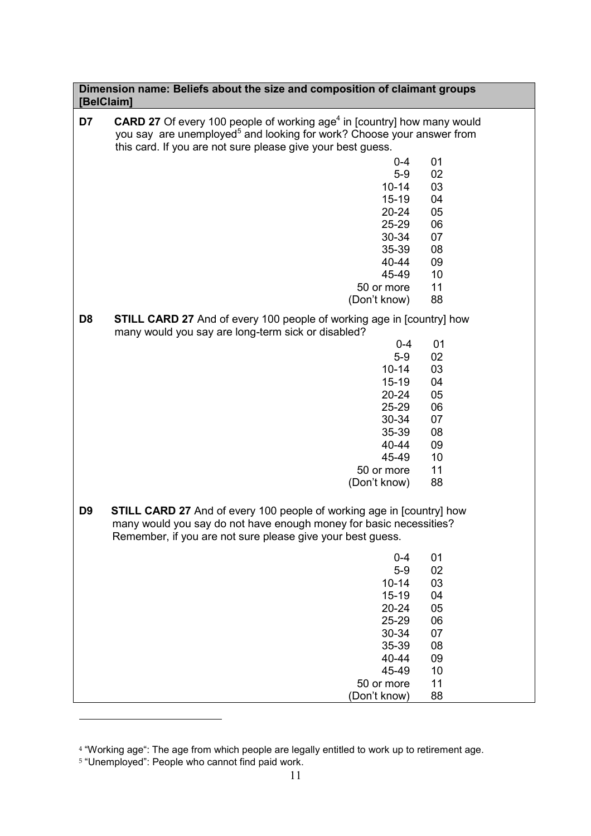## Dimension name: Beliefs about the size and composition of claimant groups [BelClaim]

| D7             | <b>CARD 27</b> Of every 100 people of working age <sup>4</sup> in [country] how many would<br>you say are unemployed <sup>5</sup> and looking for work? Choose your answer from<br>this card. If you are not sure please give your best guess. |    |
|----------------|------------------------------------------------------------------------------------------------------------------------------------------------------------------------------------------------------------------------------------------------|----|
|                | $0 - 4$                                                                                                                                                                                                                                        | 01 |
|                | $5-9$                                                                                                                                                                                                                                          | 02 |
|                | $10 - 14$                                                                                                                                                                                                                                      | 03 |
|                | $15 - 19$                                                                                                                                                                                                                                      | 04 |
|                | $20 - 24$                                                                                                                                                                                                                                      | 05 |
|                | 25-29                                                                                                                                                                                                                                          | 06 |
|                | 30-34                                                                                                                                                                                                                                          | 07 |
|                | 35-39                                                                                                                                                                                                                                          | 08 |
|                | 40-44                                                                                                                                                                                                                                          | 09 |
|                | 45-49                                                                                                                                                                                                                                          | 10 |
|                | 50 or more                                                                                                                                                                                                                                     | 11 |
|                |                                                                                                                                                                                                                                                | 88 |
|                | (Don't know)                                                                                                                                                                                                                                   |    |
| D <sub>8</sub> | <b>STILL CARD 27</b> And of every 100 people of working age in [country] how<br>many would you say are long-term sick or disabled?                                                                                                             |    |
|                | $0 - 4$                                                                                                                                                                                                                                        | 01 |
|                | $5-9$                                                                                                                                                                                                                                          | 02 |
|                | $10 - 14$                                                                                                                                                                                                                                      | 03 |
|                | $15 - 19$                                                                                                                                                                                                                                      | 04 |
|                | $20 - 24$                                                                                                                                                                                                                                      | 05 |
|                | 25-29                                                                                                                                                                                                                                          | 06 |
|                | 30-34                                                                                                                                                                                                                                          | 07 |
|                | 35-39                                                                                                                                                                                                                                          | 08 |
|                | 40-44                                                                                                                                                                                                                                          | 09 |
|                | 45-49                                                                                                                                                                                                                                          | 10 |
|                | 50 or more                                                                                                                                                                                                                                     | 11 |
|                | (Don't know)                                                                                                                                                                                                                                   | 88 |
| D <sub>9</sub> | <b>STILL CARD 27</b> And of every 100 people of working age in [country] how                                                                                                                                                                   |    |
|                | many would you say do not have enough money for basic necessities?                                                                                                                                                                             |    |
|                | Remember, if you are not sure please give your best guess.                                                                                                                                                                                     |    |
|                |                                                                                                                                                                                                                                                |    |
|                | $0-4$ 01                                                                                                                                                                                                                                       |    |
|                | $5-9$                                                                                                                                                                                                                                          | 02 |
|                | $10 - 14$                                                                                                                                                                                                                                      | 03 |
|                | $15 - 19$                                                                                                                                                                                                                                      | 04 |
|                | 20-24                                                                                                                                                                                                                                          | 05 |
|                | 25-29                                                                                                                                                                                                                                          | 06 |
|                | 30-34                                                                                                                                                                                                                                          | 07 |
|                | 35-39                                                                                                                                                                                                                                          | 08 |
|                | 40-44                                                                                                                                                                                                                                          | 09 |
|                | 45-49                                                                                                                                                                                                                                          | 10 |
|                | 50 or more                                                                                                                                                                                                                                     | 11 |
|                | (Don't know)                                                                                                                                                                                                                                   | 88 |

<sup>4</sup> "Working age": The age from which people are legally entitled to work up to retirement age. 5 "Unemployed": People who cannot find paid work.

l.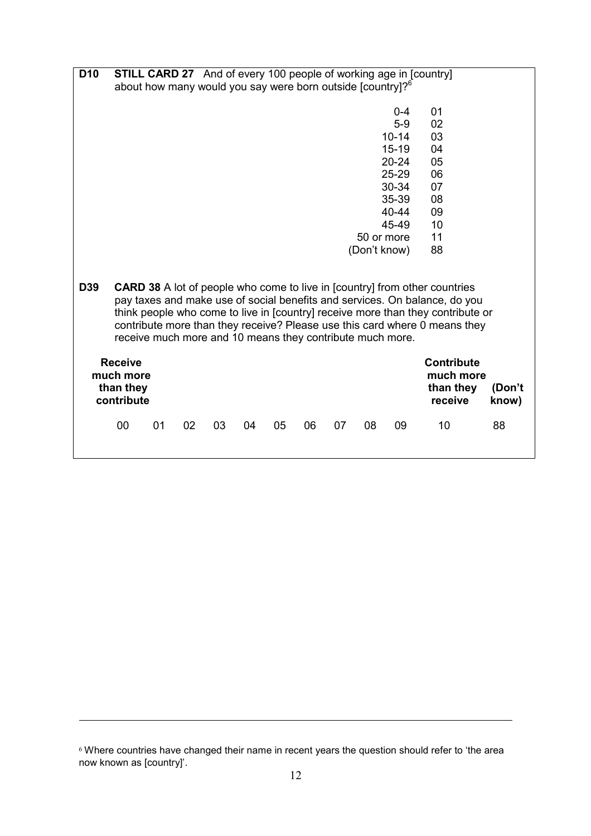| D <sub>10</sub> |                                                                        |    |    |    |    |    |    |    |              | <b>STILL CARD 27</b> And of every 100 people of working age in [country] |                                                                                   |        |
|-----------------|------------------------------------------------------------------------|----|----|----|----|----|----|----|--------------|--------------------------------------------------------------------------|-----------------------------------------------------------------------------------|--------|
|                 | about how many would you say were born outside [country]? <sup>6</sup> |    |    |    |    |    |    |    |              |                                                                          |                                                                                   |        |
|                 |                                                                        |    |    |    |    |    |    |    |              |                                                                          |                                                                                   |        |
|                 |                                                                        |    |    |    |    |    |    |    |              | $0 - 4$                                                                  | 01                                                                                |        |
|                 |                                                                        |    |    |    |    |    |    |    |              | $5-9$                                                                    | 02                                                                                |        |
|                 |                                                                        |    |    |    |    |    |    |    |              | $10 - 14$                                                                | 03                                                                                |        |
|                 |                                                                        |    |    |    |    |    |    |    |              | $15 - 19$                                                                | 04                                                                                |        |
|                 |                                                                        |    |    |    |    |    |    |    |              | $20 - 24$                                                                | 05                                                                                |        |
|                 |                                                                        |    |    |    |    |    |    |    |              | 25-29                                                                    | 06                                                                                |        |
|                 |                                                                        |    |    |    |    |    |    |    |              | 30-34                                                                    | 07                                                                                |        |
|                 |                                                                        |    |    |    |    |    |    |    |              | 35-39                                                                    | 08                                                                                |        |
|                 |                                                                        |    |    |    |    |    |    |    |              | 40-44                                                                    | 09                                                                                |        |
|                 |                                                                        |    |    |    |    |    |    |    |              | 45-49                                                                    | 10                                                                                |        |
|                 |                                                                        |    |    |    |    |    |    |    | 50 or more   |                                                                          | 11                                                                                |        |
|                 |                                                                        |    |    |    |    |    |    |    | (Don't know) |                                                                          | 88                                                                                |        |
|                 |                                                                        |    |    |    |    |    |    |    |              |                                                                          |                                                                                   |        |
|                 |                                                                        |    |    |    |    |    |    |    |              |                                                                          |                                                                                   |        |
| D39             |                                                                        |    |    |    |    |    |    |    |              |                                                                          | <b>CARD 38</b> A lot of people who come to live in [country] from other countries |        |
|                 |                                                                        |    |    |    |    |    |    |    |              |                                                                          | pay taxes and make use of social benefits and services. On balance, do you        |        |
|                 |                                                                        |    |    |    |    |    |    |    |              |                                                                          | think people who come to live in [country] receive more than they contribute or   |        |
|                 |                                                                        |    |    |    |    |    |    |    |              |                                                                          | contribute more than they receive? Please use this card where 0 means they        |        |
|                 | receive much more and 10 means they contribute much more.              |    |    |    |    |    |    |    |              |                                                                          |                                                                                   |        |
|                 | <b>Receive</b>                                                         |    |    |    |    |    |    |    |              |                                                                          | <b>Contribute</b>                                                                 |        |
|                 | much more                                                              |    |    |    |    |    |    |    |              |                                                                          | much more                                                                         |        |
|                 | than they                                                              |    |    |    |    |    |    |    |              |                                                                          | than they                                                                         | (Don't |
|                 | contribute                                                             |    |    |    |    |    |    |    |              |                                                                          | receive                                                                           | know)  |
|                 | 00                                                                     | 01 | 02 | 03 | 04 | 05 | 06 | 07 | 08           | 09                                                                       | 10                                                                                | 88     |
|                 |                                                                        |    |    |    |    |    |    |    |              |                                                                          |                                                                                   |        |

 $6$  Where countries have changed their name in recent years the question should refer to 'the area now known as [country]'.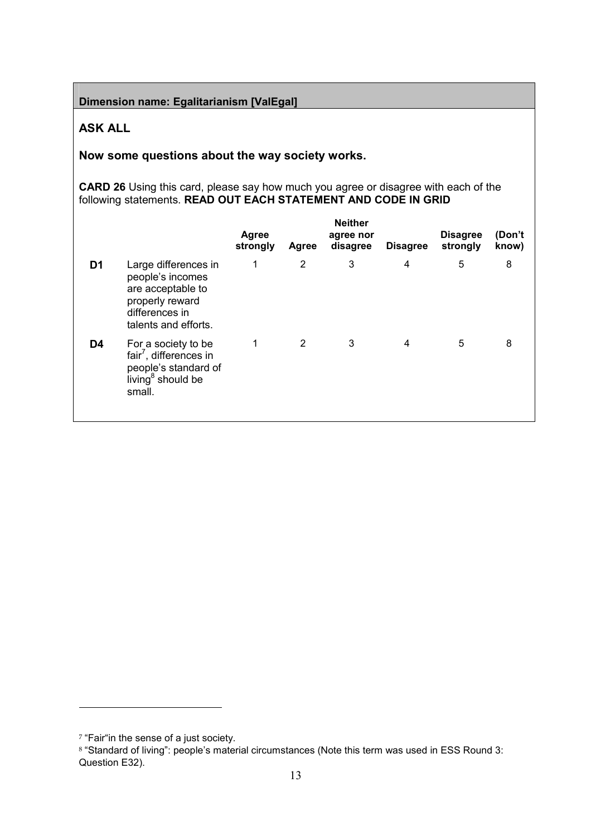Dimension name: Egalitarianism [ValEgal]

## ASK ALL

Now some questions about the way society works.

CARD 26 Using this card, please say how much you agree or disagree with each of the following statements. READ OUT EACH STATEMENT AND CODE IN GRID

|    |                                                                                                                              | <b>Agree</b><br>strongly | Agree          | <b>Neither</b><br>agree nor<br>disagree | <b>Disagree</b> | <b>Disagree</b><br>strongly | (Don't<br>know) |
|----|------------------------------------------------------------------------------------------------------------------------------|--------------------------|----------------|-----------------------------------------|-----------------|-----------------------------|-----------------|
| D1 | Large differences in<br>people's incomes<br>are acceptable to<br>properly reward<br>differences in<br>talents and efforts.   | 1                        | 2              | 3                                       | 4               | 5                           | 8               |
| D4 | For a society to be<br>fair <sup>7</sup> , differences in<br>people's standard of<br>living <sup>8</sup> should be<br>small. | 1                        | $\overline{2}$ | 3                                       | 4               | 5                           | 8               |

<sup>&</sup>lt;sup>7</sup> "Fair"in the sense of a just society.

<sup>8</sup> "Standard of living": people's material circumstances (Note this term was used in ESS Round 3: Question E32).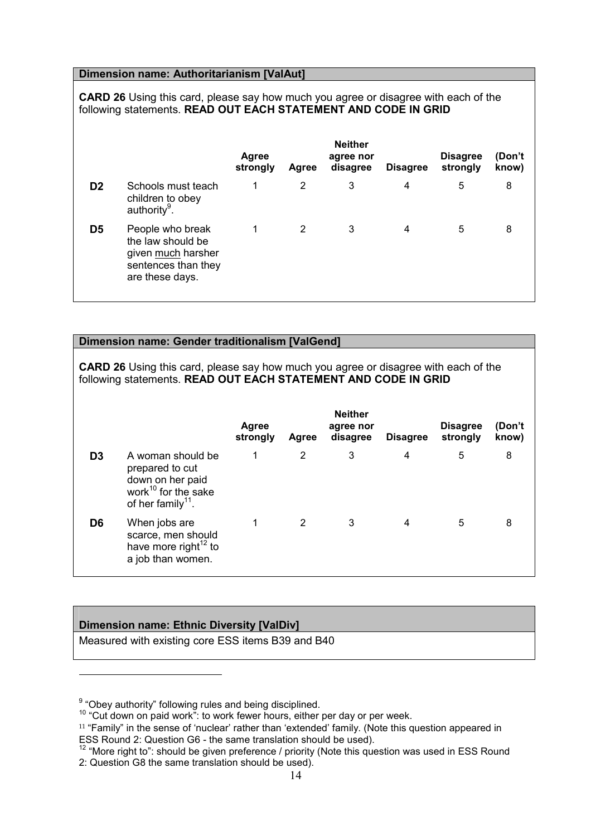## Dimension name: Authoritarianism [ValAut]

CARD 26 Using this card, please say how much you agree or disagree with each of the following statements. READ OUT EACH STATEMENT AND CODE IN GRID

|    |                                                                                                       | <b>Agree</b><br>strongly | Agree | <b>Neither</b><br>agree nor<br>disagree | <b>Disagree</b> | <b>Disagree</b><br>strongly | (Don't<br>know) |
|----|-------------------------------------------------------------------------------------------------------|--------------------------|-------|-----------------------------------------|-----------------|-----------------------------|-----------------|
| D2 | Schools must teach<br>children to obey<br>authority <sup>9</sup> .                                    | 1                        | 2     | 3                                       | 4               | 5                           | 8               |
| D5 | People who break<br>the law should be<br>given much harsher<br>sentences than they<br>are these days. |                          | 2     | 3                                       | 4               | 5                           | 8               |

## Dimension name: Gender traditionalism [ValGend]

CARD 26 Using this card, please say how much you agree or disagree with each of the following statements. READ OUT EACH STATEMENT AND CODE IN GRID

|    |                                                                                                                              | Agree<br>strongly | Agree | <b>Neither</b><br>agree nor<br>disagree | <b>Disagree</b> | <b>Disagree</b><br>strongly | (Don't<br>know) |
|----|------------------------------------------------------------------------------------------------------------------------------|-------------------|-------|-----------------------------------------|-----------------|-----------------------------|-----------------|
| D3 | A woman should be<br>prepared to cut<br>down on her paid<br>work <sup>10</sup> for the sake<br>of her family <sup>11</sup> . |                   | 2     | 3                                       | 4               | 5                           | 8               |
| D6 | When jobs are<br>scarce, men should<br>have more right <sup>12</sup> to<br>a job than women.                                 |                   | 2     | 3                                       | 4               | 5                           | 8               |

## Dimension name: Ethnic Diversity [ValDiv]

l.

Measured with existing core ESS items B39 and B40

 $9<sup>9</sup>$  "Obey authority" following rules and being disciplined.

<sup>&</sup>lt;sup>10</sup> "Cut down on paid work": to work fewer hours, either per day or per week.

<sup>&</sup>lt;sup>11</sup> "Family" in the sense of 'nuclear' rather than 'extended' family. (Note this question appeared in ESS Round 2: Question G6 - the same translation should be used).

<sup>&</sup>lt;sup>12</sup> "More right to": should be given preference / priority (Note this question was used in ESS Round 2: Question G8 the same translation should be used).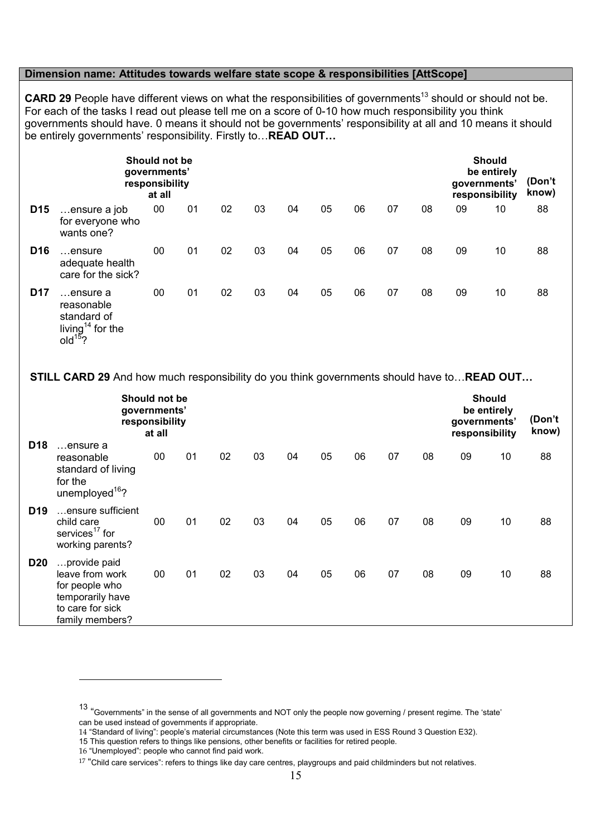#### Dimension name: Attitudes towards welfare state scope & responsibilities [AttScope]

CARD 29 People have different views on what the responsibilities of governments<sup>13</sup> should or should not be. For each of the tasks I read out please tell me on a score of 0-10 how much responsibility you think governments should have. 0 means it should not be governments' responsibility at all and 10 means it should be entirely governments' responsibility. Firstly to... READ OUT...

|                 | Should not be<br>governments'<br>responsibility<br>at all                                    |        |    |    |    |    |    |    |    |    |    | <b>Should</b><br>be entirely<br>governments'<br>responsibility |    |  |
|-----------------|----------------------------------------------------------------------------------------------|--------|----|----|----|----|----|----|----|----|----|----------------------------------------------------------------|----|--|
| D <sub>15</sub> | ensure a job<br>for everyone who<br>wants one?                                               | $00\,$ | 01 | 02 | 03 | 04 | 05 | 06 | 07 | 08 | 09 | 10                                                             | 88 |  |
| D <sub>16</sub> | ensure<br>adequate health<br>care for the sick?                                              | $00\,$ | 01 | 02 | 03 | 04 | 05 | 06 | 07 | 08 | 09 | 10                                                             | 88 |  |
| <b>D17</b>      | ensure a<br>reasonable<br>standard of<br>living <sup>14</sup> for the<br>old <sup>15</sup> ? | 00     | 01 | 02 | 03 | 04 | 05 | 06 | 07 | 08 | 09 | 10                                                             | 88 |  |

STILL CARD 29 And how much responsibility do you think governments should have to... READ OUT...

|                 | <b>Should not be</b><br>governments'<br>responsibility<br>at all                                             |    |    |    |    |    |    |    |    |    | <b>Should</b><br>be entirely<br>governments'<br>responsibility | (Don't<br>know) |    |
|-----------------|--------------------------------------------------------------------------------------------------------------|----|----|----|----|----|----|----|----|----|----------------------------------------------------------------|-----------------|----|
| D <sub>18</sub> | ensure a<br>reasonable<br>standard of living<br>for the<br>unemployed <sup>16</sup> ?                        | 00 | 01 | 02 | 03 | 04 | 05 | 06 | 07 | 08 | 09                                                             | 10              | 88 |
| D <sub>19</sub> | ensure sufficient<br>child care<br>services <sup>17</sup> for<br>working parents?                            | 00 | 01 | 02 | 03 | 04 | 05 | 06 | 07 | 08 | 09                                                             | 10              | 88 |
| <b>D20</b>      | provide paid<br>leave from work<br>for people who<br>temporarily have<br>to care for sick<br>family members? | 00 | 01 | 02 | 03 | 04 | 05 | 06 | 07 | 08 | 09                                                             | 10              | 88 |

<sup>13</sup> "Governments" in the sense of all governments and NOT only the people now governing / present regime. The 'state' can be used instead of governments if appropriate.

<sup>14</sup> "Standard of living": people's material circumstances (Note this term was used in ESS Round 3 Question E32).

<sup>15</sup> This question refers to things like pensions, other benefits or facilities for retired people.

<sup>16</sup> "Unemployed": people who cannot find paid work.

 $17$  "Child care services": refers to things like day care centres, playgroups and paid childminders but not relatives.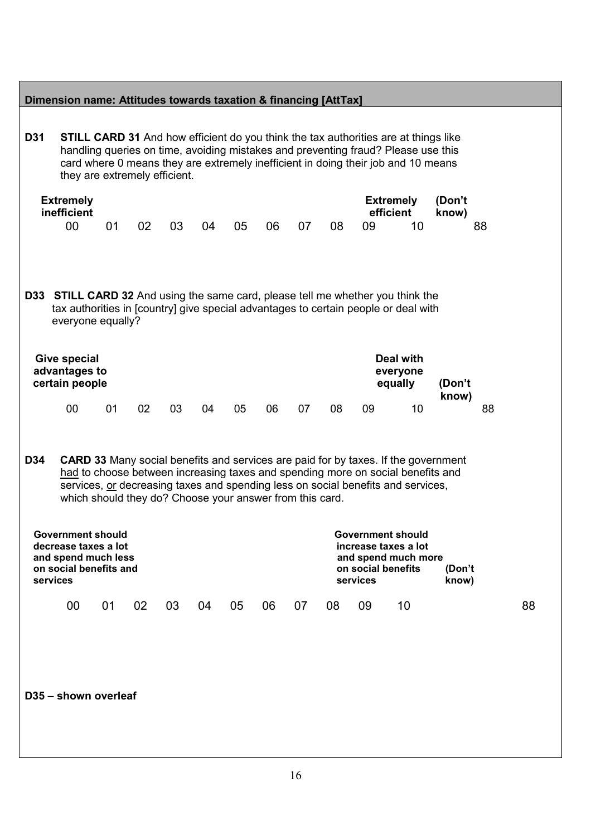|            |                                                                                                   | they are extremely efficient.                            |    |    |    |    |    |    |    |                                | handling queries on time, avoiding mistakes and preventing fraud? Please use this<br>card where 0 means they are extremely inefficient in doing their job and 10 means                                                                                                                                                                      |                       |    |
|------------|---------------------------------------------------------------------------------------------------|----------------------------------------------------------|----|----|----|----|----|----|----|--------------------------------|---------------------------------------------------------------------------------------------------------------------------------------------------------------------------------------------------------------------------------------------------------------------------------------------------------------------------------------------|-----------------------|----|
|            | <b>Extremely</b><br>inefficient<br>00 <sub>0</sub>                                                | 01                                                       | 02 | 03 | 04 | 05 | 06 | 07 | 08 | 09                             | <b>Extremely</b><br>efficient<br>10                                                                                                                                                                                                                                                                                                         | (Don't<br>know)<br>88 |    |
|            | everyone equally?                                                                                 |                                                          |    |    |    |    |    |    |    |                                | <b>D33 STILL CARD 32</b> And using the same card, please tell me whether you think the<br>tax authorities in [country] give special advantages to certain people or deal with                                                                                                                                                               |                       |    |
|            | <b>Give special</b><br>advantages to<br>certain people                                            |                                                          |    |    |    |    |    |    |    |                                | <b>Deal with</b><br>everyone<br>equally                                                                                                                                                                                                                                                                                                     | (Don't<br>know)       |    |
|            | 00 <sub>o</sub>                                                                                   | 01                                                       | 02 | 03 | 04 | 05 | 06 | 07 | 08 | 09                             | 10                                                                                                                                                                                                                                                                                                                                          |                       | 88 |
|            |                                                                                                   |                                                          |    |    |    |    |    |    |    |                                |                                                                                                                                                                                                                                                                                                                                             |                       |    |
| services   | <b>Government should</b><br>decrease taxes a lot<br>and spend much less<br>on social benefits and | which should they do? Choose your answer from this card. |    |    |    |    |    |    |    | on social benefits<br>services | <b>CARD 33</b> Many social benefits and services are paid for by taxes. If the government<br>had to choose between increasing taxes and spending more on social benefits and<br>services, or decreasing taxes and spending less on social benefits and services,<br><b>Government should</b><br>increase taxes a lot<br>and spend much more | (Don't<br>know)       |    |
| <b>D34</b> | 00                                                                                                | 01                                                       | 02 | 03 | 04 | 05 | 06 | 07 | 08 | 09                             | 10                                                                                                                                                                                                                                                                                                                                          |                       | 88 |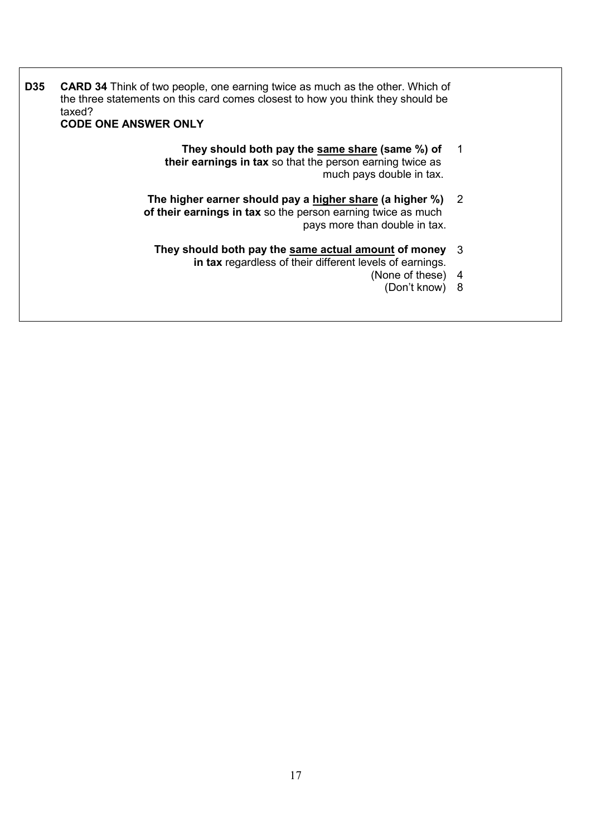| <b>D35</b> | <b>CARD 34</b> Think of two people, one earning twice as much as the other. Which of<br>the three statements on this card comes closest to how you think they should be<br>taxed?<br><b>CODE ONE ANSWER ONLY</b> |  |
|------------|------------------------------------------------------------------------------------------------------------------------------------------------------------------------------------------------------------------|--|
|            | They should both pay the same share (same %) of<br>their earnings in tax so that the person earning twice as                                                                                                     |  |

- much pays double in tax. The higher earner should pay a higher share (a higher %) 2
- of their earnings in tax so the person earning twice as much pays more than double in tax.
- They should both pay the same actual amount of money in tax regardless of their different levels of earnings. 3
	- (None of these) 4
		- (Don't know) 8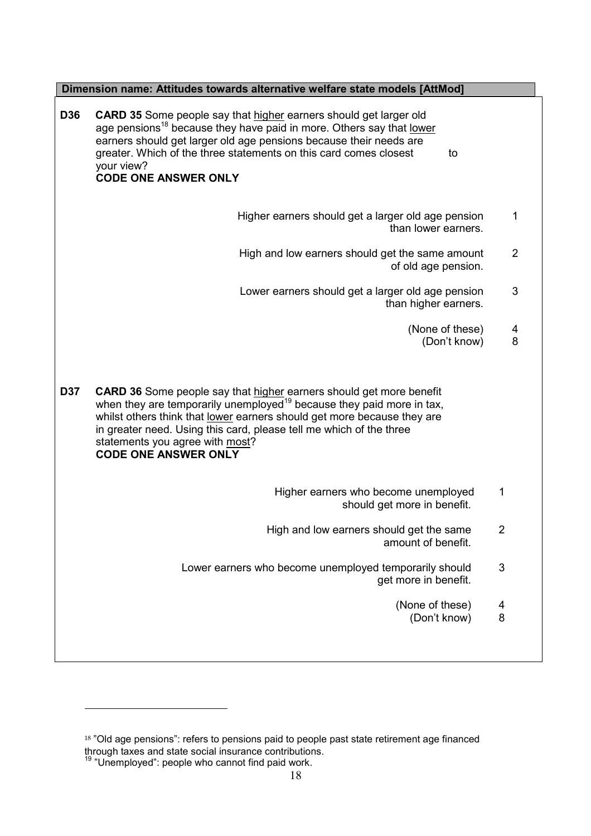|            | Dimension name: Attitudes towards alternative welfare state models [AttMod]                                                                                                                                                                                                                                                                                                         |                |  |  |  |  |  |  |  |
|------------|-------------------------------------------------------------------------------------------------------------------------------------------------------------------------------------------------------------------------------------------------------------------------------------------------------------------------------------------------------------------------------------|----------------|--|--|--|--|--|--|--|
| <b>D36</b> | CARD 35 Some people say that higher earners should get larger old<br>age pensions <sup>18</sup> because they have paid in more. Others say that <u>lower</u><br>earners should get larger old age pensions because their needs are<br>greater. Which of the three statements on this card comes closest<br>to<br>your view?<br><b>CODE ONE ANSWER ONLY</b>                          |                |  |  |  |  |  |  |  |
|            | Higher earners should get a larger old age pension<br>than lower earners.                                                                                                                                                                                                                                                                                                           | 1              |  |  |  |  |  |  |  |
|            | High and low earners should get the same amount<br>of old age pension.                                                                                                                                                                                                                                                                                                              | $\overline{2}$ |  |  |  |  |  |  |  |
|            | Lower earners should get a larger old age pension<br>than higher earners.                                                                                                                                                                                                                                                                                                           | 3              |  |  |  |  |  |  |  |
|            | (None of these)<br>(Don't know)                                                                                                                                                                                                                                                                                                                                                     | 4<br>8         |  |  |  |  |  |  |  |
| <b>D37</b> | <b>CARD 36</b> Some people say that higher earners should get more benefit<br>when they are temporarily unemployed <sup>19</sup> because they paid more in tax,<br>whilst others think that lower earners should get more because they are<br>in greater need. Using this card, please tell me which of the three<br>statements you agree with most?<br><b>CODE ONE ANSWER ONLY</b> |                |  |  |  |  |  |  |  |
|            | Higher earners who become unemployed<br>should get more in benefit.                                                                                                                                                                                                                                                                                                                 | 1              |  |  |  |  |  |  |  |
|            | High and low earners should get the same<br>amount of benefit.                                                                                                                                                                                                                                                                                                                      | $\overline{2}$ |  |  |  |  |  |  |  |
|            | Lower earners who become unemployed temporarily should<br>get more in benefit.                                                                                                                                                                                                                                                                                                      | $\mathfrak{S}$ |  |  |  |  |  |  |  |
|            | (None of these)<br>(Don't know)                                                                                                                                                                                                                                                                                                                                                     | 4<br>8         |  |  |  |  |  |  |  |
|            |                                                                                                                                                                                                                                                                                                                                                                                     |                |  |  |  |  |  |  |  |

l.

<sup>&</sup>lt;sup>18</sup> "Old age pensions": refers to pensions paid to people past state retirement age financed through taxes and state social insurance contributions. <sup>19</sup> "Unemployed": people who cannot find paid work.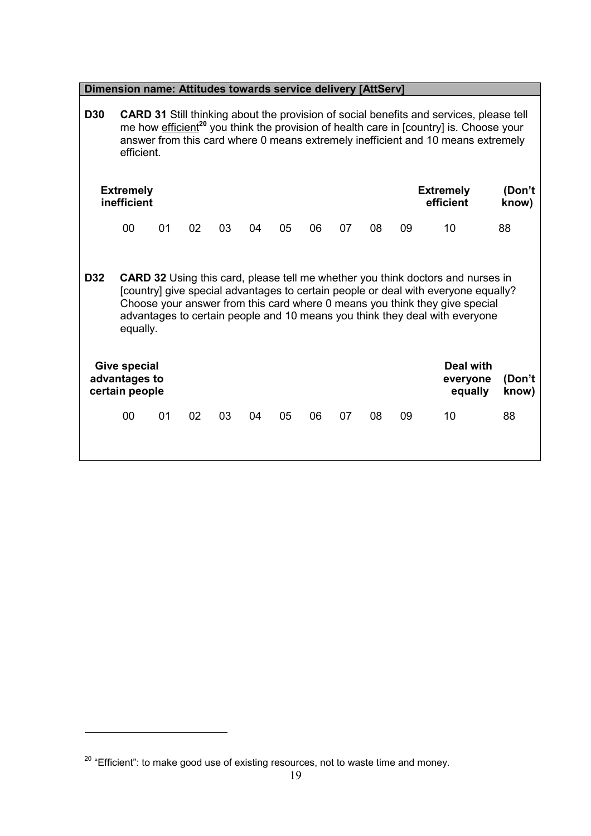|            | Dimension name: Attitudes towards service delivery [AttServ]                                                                                                                                                                                                                                    |    |    |    |    |    |    |    |    |        |                                                                                                                                                                                                                                                                                                                                            |                 |
|------------|-------------------------------------------------------------------------------------------------------------------------------------------------------------------------------------------------------------------------------------------------------------------------------------------------|----|----|----|----|----|----|----|----|--------|--------------------------------------------------------------------------------------------------------------------------------------------------------------------------------------------------------------------------------------------------------------------------------------------------------------------------------------------|-----------------|
| <b>D30</b> | CARD 31 Still thinking about the provision of social benefits and services, please tell<br>me how efficient <sup>20</sup> you think the provision of health care in [country] is. Choose your<br>answer from this card where 0 means extremely inefficient and 10 means extremely<br>efficient. |    |    |    |    |    |    |    |    |        |                                                                                                                                                                                                                                                                                                                                            |                 |
|            | <b>Extremely</b><br><b>Extremely</b><br>inefficient<br>efficient<br>know)                                                                                                                                                                                                                       |    |    |    |    |    |    |    |    | (Don't |                                                                                                                                                                                                                                                                                                                                            |                 |
|            | 00                                                                                                                                                                                                                                                                                              | 01 | 02 | 03 | 04 | 05 | 06 | 07 | 08 | 09     | 10                                                                                                                                                                                                                                                                                                                                         | 88              |
| <b>D32</b> | equally.                                                                                                                                                                                                                                                                                        |    |    |    |    |    |    |    |    |        | <b>CARD 32</b> Using this card, please tell me whether you think doctors and nurses in<br>[country] give special advantages to certain people or deal with everyone equally?<br>Choose your answer from this card where 0 means you think they give special<br>advantages to certain people and 10 means you think they deal with everyone |                 |
|            | <b>Give special</b><br>advantages to<br>certain people                                                                                                                                                                                                                                          |    |    |    |    |    |    |    |    |        | <b>Deal with</b><br>everyone<br>equally                                                                                                                                                                                                                                                                                                    | (Don't<br>know) |
|            | 00                                                                                                                                                                                                                                                                                              | 01 | 02 | 03 | 04 | 05 | 06 | 07 | 08 | 09     | 10                                                                                                                                                                                                                                                                                                                                         | 88              |

 $^{20}$  "Efficient": to make good use of existing resources, not to waste time and money.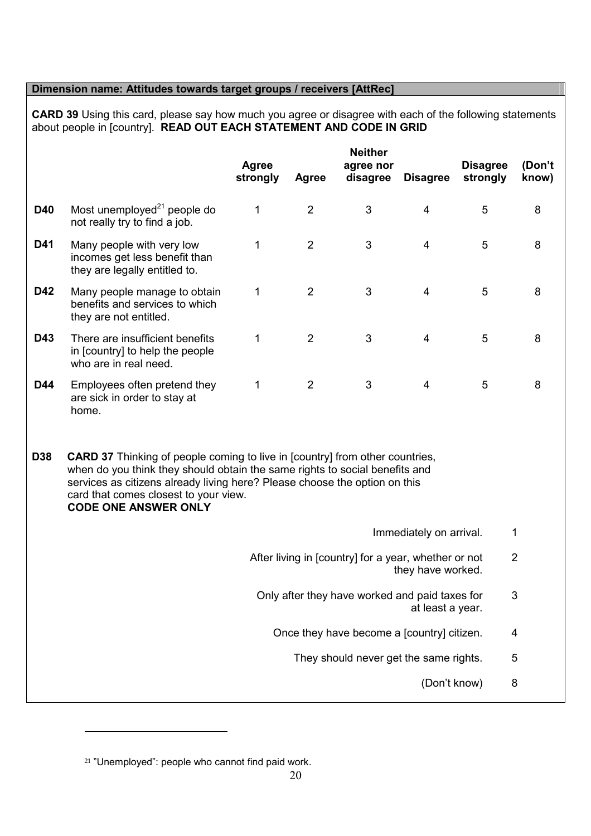## Dimension name: Attitudes towards target groups / receivers [AttRec]

CARD 39 Using this card, please say how much you agree or disagree with each of the following statements about people in [country]. READ OUT EACH STATEMENT AND CODE IN GRID

|            |                                                                                             | <b>Agree</b><br>strongly | <b>Agree</b>   | <b>Neither</b><br>agree nor<br>disagree | <b>Disagree</b> | <b>Disagree</b><br>strongly | (Don't<br>know) |
|------------|---------------------------------------------------------------------------------------------|--------------------------|----------------|-----------------------------------------|-----------------|-----------------------------|-----------------|
| <b>D40</b> | Most unemployed <sup>21</sup> people do<br>not really try to find a job.                    | 1                        | $\overline{2}$ | 3                                       | $\overline{4}$  | 5                           | 8               |
| D41        | Many people with very low<br>incomes get less benefit than<br>they are legally entitled to. | 1                        | 2              | 3                                       | $\overline{4}$  | 5                           | 8               |
| <b>D42</b> | Many people manage to obtain<br>benefits and services to which<br>they are not entitled.    | 1                        | 2              | 3                                       | $\overline{4}$  | 5                           | 8               |
| D43        | There are insufficient benefits<br>in [country] to help the people<br>who are in real need. | 1                        | 2              | 3                                       | $\overline{4}$  | 5                           | 8               |
| D44        | Employees often pretend they<br>are sick in order to stay at<br>home.                       | 1                        | 2              | 3                                       | $\overline{4}$  | 5                           | 8               |

**D38 CARD 37** Thinking of people coming to live in [country] from other countries, when do you think they should obtain the same rights to social benefits and services as citizens already living here? Please choose the option on this card that comes closest to your view. CODE ONE ANSWER ONLY

- Immediately on arrival. 1
- After living in [country] for a year, whether or not they have worked. 2
	- Only after they have worked and paid taxes for at least a year. 3
		- Once they have become a [country] citizen. 4
			- They should never get the same rights. 5
				- (Don't know) 8

<sup>&</sup>lt;sup>21</sup> "Unemployed": people who cannot find paid work.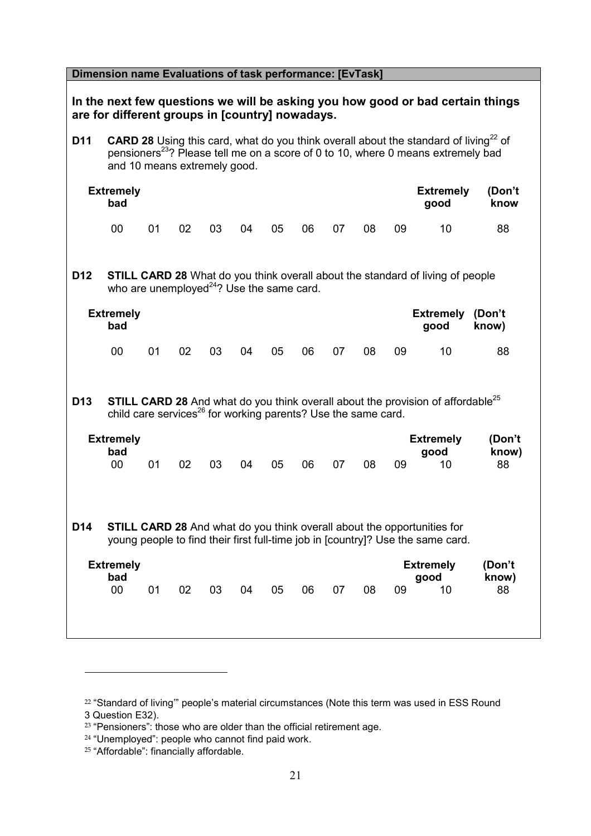| Dimension name Evaluations of task performance: [EvTask]                                                                                                                             |                                                                                                                                                                                                                                         |    |    |    |    |    |    |    |    |    |                                                                                                    |                       |
|--------------------------------------------------------------------------------------------------------------------------------------------------------------------------------------|-----------------------------------------------------------------------------------------------------------------------------------------------------------------------------------------------------------------------------------------|----|----|----|----|----|----|----|----|----|----------------------------------------------------------------------------------------------------|-----------------------|
| In the next few questions we will be asking you how good or bad certain things<br>are for different groups in [country] nowadays.                                                    |                                                                                                                                                                                                                                         |    |    |    |    |    |    |    |    |    |                                                                                                    |                       |
| D <sub>11</sub>                                                                                                                                                                      | <b>CARD 28</b> Using this card, what do you think overall about the standard of living <sup>22</sup> of<br>pensioners <sup>23</sup> ? Please tell me on a score of 0 to 10, where 0 means extremely bad<br>and 10 means extremely good. |    |    |    |    |    |    |    |    |    |                                                                                                    |                       |
|                                                                                                                                                                                      | <b>Extremely</b><br><b>Extremely</b><br>(Don't<br>bad<br>good<br>know                                                                                                                                                                   |    |    |    |    |    |    |    |    |    |                                                                                                    |                       |
|                                                                                                                                                                                      | 00                                                                                                                                                                                                                                      | 01 | 02 | 03 | 04 | 05 | 06 | 07 | 08 | 09 | 10                                                                                                 | 88                    |
| D <sub>12</sub>                                                                                                                                                                      | <b>STILL CARD 28</b> What do you think overall about the standard of living of people<br>who are unemployed $^{24}$ ? Use the same card.                                                                                                |    |    |    |    |    |    |    |    |    |                                                                                                    |                       |
|                                                                                                                                                                                      | <b>Extremely</b><br>bad                                                                                                                                                                                                                 |    |    |    |    |    |    |    |    |    | <b>Extremely</b><br>good                                                                           | (Don't<br>know)       |
|                                                                                                                                                                                      | 00                                                                                                                                                                                                                                      | 01 | 02 | 03 | 04 | 05 | 06 | 07 | 08 | 09 | 10                                                                                                 | 88                    |
| D <sub>13</sub>                                                                                                                                                                      | child care services <sup>26</sup> for working parents? Use the same card.                                                                                                                                                               |    |    |    |    |    |    |    |    |    | <b>STILL CARD 28</b> And what do you think overall about the provision of affordable <sup>25</sup> |                       |
|                                                                                                                                                                                      | <b>Extremely</b><br>bad<br>00                                                                                                                                                                                                           | 01 | 02 | 03 | 04 | 05 | 06 | 07 | 08 | 09 | <b>Extremely</b><br>good<br>10                                                                     | (Don't<br>know)<br>88 |
| <b>STILL CARD 28</b> And what do you think overall about the opportunities for<br>D <sub>14</sub><br>young people to find their first full-time job in [country]? Use the same card. |                                                                                                                                                                                                                                         |    |    |    |    |    |    |    |    |    |                                                                                                    |                       |
| <b>Extremely</b><br><b>Extremely</b><br>(Don't<br>bad<br>know)<br>good<br>00<br>01<br>02<br>03<br>05<br>06<br>07<br>08<br>09<br>10<br>88<br>04                                       |                                                                                                                                                                                                                                         |    |    |    |    |    |    |    |    |    |                                                                                                    |                       |

<sup>&</sup>lt;sup>22</sup> "Standard of living" people's material circumstances (Note this term was used in ESS Round 3 Question E32).

 $23$  "Pensioners": those who are older than the official retirement age.

<sup>&</sup>lt;sup>24</sup> "Unemployed": people who cannot find paid work.

<sup>25</sup> "Affordable": financially affordable.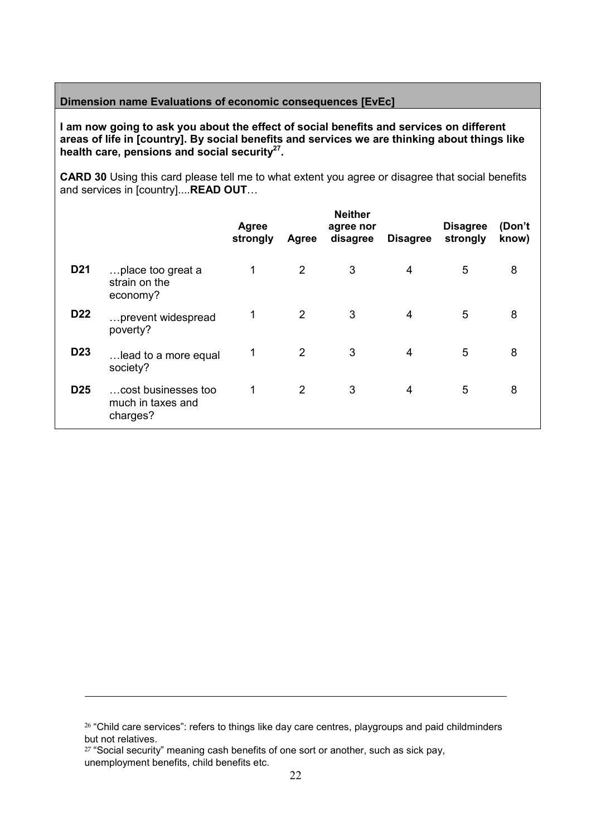## Dimension name Evaluations of economic consequences [EvEc]

I am now going to ask you about the effect of social benefits and services on different areas of life in [country]. By social benefits and services we are thinking about things like health care, pensions and social security $27$ .

CARD 30 Using this card please tell me to what extent you agree or disagree that social benefits and services in [country]....READ OUT…

|                 |                                                      | <b>Agree</b><br>strongly | <b>Agree</b> | <b>Neither</b><br>agree nor<br>disagree | <b>Disagree</b> | <b>Disagree</b><br>strongly | (Don't<br>know) |
|-----------------|------------------------------------------------------|--------------------------|--------------|-----------------------------------------|-----------------|-----------------------------|-----------------|
| D <sub>21</sub> | place too great a<br>strain on the<br>economy?       | 1                        | 2            | 3                                       | 4               | 5                           | 8               |
| D <sub>22</sub> | prevent widespread<br>poverty?                       | 1                        | 2            | 3                                       | 4               | 5                           | 8               |
| D <sub>23</sub> | lead to a more equal<br>society?                     | 1                        | 2            | 3                                       | 4               | 5                           | 8               |
| D <sub>25</sub> | cost businesses too<br>much in taxes and<br>charges? | 1                        | 2            | 3                                       | 4               | 5                           | 8               |

<sup>&</sup>lt;sup>26</sup> "Child care services": refers to things like day care centres, playgroups and paid childminders but not relatives.

<sup>&</sup>lt;sup>27</sup> "Social security" meaning cash benefits of one sort or another, such as sick pay, unemployment benefits, child benefits etc.